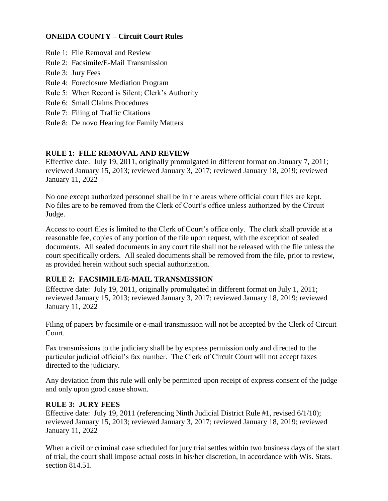## **ONEIDA COUNTY – Circuit Court Rules**

- Rule 1: File Removal and Review
- Rule 2: Facsimile/E-Mail Transmission
- Rule 3: Jury Fees
- Rule 4: Foreclosure Mediation Program
- Rule 5: When Record is Silent; Clerk's Authority
- Rule 6: Small Claims Procedures
- Rule 7: Filing of Traffic Citations
- Rule 8: De novo Hearing for Family Matters

## **RULE 1: FILE REMOVAL AND REVIEW**

Effective date: July 19, 2011, originally promulgated in different format on January 7, 2011; reviewed January 15, 2013; reviewed January 3, 2017; reviewed January 18, 2019; reviewed January 11, 2022

No one except authorized personnel shall be in the areas where official court files are kept. No files are to be removed from the Clerk of Court's office unless authorized by the Circuit Judge.

Access to court files is limited to the Clerk of Court's office only. The clerk shall provide at a reasonable fee, copies of any portion of the file upon request, with the exception of sealed documents. All sealed documents in any court file shall not be released with the file unless the court specifically orders. All sealed documents shall be removed from the file, prior to review, as provided herein without such special authorization.

#### **RULE 2: FACSIMILE/E-MAIL TRANSMISSION**

Effective date: July 19, 2011, originally promulgated in different format on July 1, 2011; reviewed January 15, 2013; reviewed January 3, 2017; reviewed January 18, 2019; reviewed January 11, 2022

Filing of papers by facsimile or e-mail transmission will not be accepted by the Clerk of Circuit Court.

Fax transmissions to the judiciary shall be by express permission only and directed to the particular judicial official's fax number. The Clerk of Circuit Court will not accept faxes directed to the judiciary.

Any deviation from this rule will only be permitted upon receipt of express consent of the judge and only upon good cause shown.

#### **RULE 3: JURY FEES**

Effective date: July 19, 2011 (referencing Ninth Judicial District Rule #1, revised 6/1/10); reviewed January 15, 2013; reviewed January 3, 2017; reviewed January 18, 2019; reviewed January 11, 2022

When a civil or criminal case scheduled for jury trial settles within two business days of the start of trial, the court shall impose actual costs in his/her discretion, in accordance with Wis. Stats. section 814.51.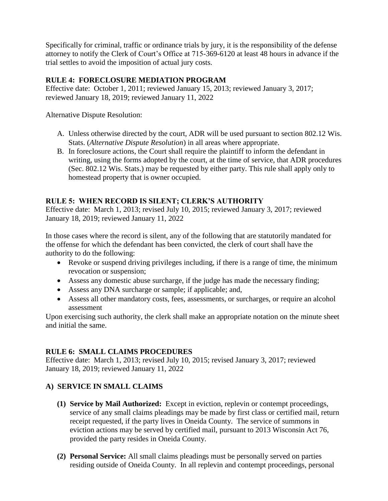Specifically for criminal, traffic or ordinance trials by jury, it is the responsibility of the defense attorney to notify the Clerk of Court's Office at 715-369-6120 at least 48 hours in advance if the trial settles to avoid the imposition of actual jury costs.

# **RULE 4: FORECLOSURE MEDIATION PROGRAM**

Effective date: October 1, 2011; reviewed January 15, 2013; reviewed January 3, 2017; reviewed January 18, 2019; reviewed January 11, 2022

Alternative Dispute Resolution:

- A. Unless otherwise directed by the court, ADR will be used pursuant to section 802.12 Wis. Stats. (*Alternative Dispute Resolution*) in all areas where appropriate.
- B. In foreclosure actions, the Court shall require the plaintiff to inform the defendant in writing, using the forms adopted by the court, at the time of service, that ADR procedures (Sec. 802.12 Wis. Stats.) may be requested by either party. This rule shall apply only to homestead property that is owner occupied.

# **RULE 5: WHEN RECORD IS SILENT; CLERK'S AUTHORITY**

Effective date: March 1, 2013; revised July 10, 2015; reviewed January 3, 2017; reviewed January 18, 2019; reviewed January 11, 2022

In those cases where the record is silent, any of the following that are statutorily mandated for the offense for which the defendant has been convicted, the clerk of court shall have the authority to do the following:

- Revoke or suspend driving privileges including, if there is a range of time, the minimum revocation or suspension;
- Assess any domestic abuse surcharge, if the judge has made the necessary finding;
- Assess any DNA surcharge or sample; if applicable; and,
- Assess all other mandatory costs, fees, assessments, or surcharges, or require an alcohol assessment

Upon exercising such authority, the clerk shall make an appropriate notation on the minute sheet and initial the same.

# **RULE 6: SMALL CLAIMS PROCEDURES**

Effective date: March 1, 2013; revised July 10, 2015; revised January 3, 2017; reviewed January 18, 2019; reviewed January 11, 2022

# **A) SERVICE IN SMALL CLAIMS**

- **(1) Service by Mail Authorized:** Except in eviction, replevin or contempt proceedings, service of any small claims pleadings may be made by first class or certified mail, return receipt requested, if the party lives in Oneida County. The service of summons in eviction actions may be served by certified mail, pursuant to 2013 Wisconsin Act 76, provided the party resides in Oneida County.
- **(2) Personal Service:** All small claims pleadings must be personally served on parties residing outside of Oneida County. In all replevin and contempt proceedings, personal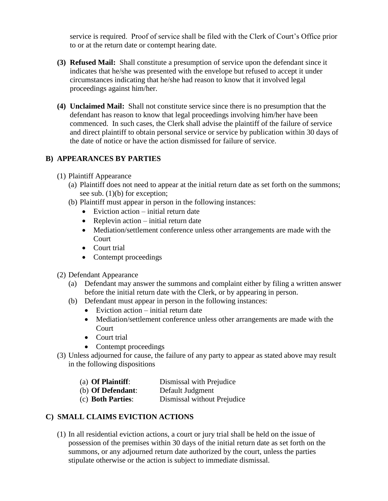service is required. Proof of service shall be filed with the Clerk of Court's Office prior to or at the return date or contempt hearing date.

- **(3) Refused Mail:** Shall constitute a presumption of service upon the defendant since it indicates that he/she was presented with the envelope but refused to accept it under circumstances indicating that he/she had reason to know that it involved legal proceedings against him/her.
- **(4) Unclaimed Mail:** Shall not constitute service since there is no presumption that the defendant has reason to know that legal proceedings involving him/her have been commenced. In such cases, the Clerk shall advise the plaintiff of the failure of service and direct plaintiff to obtain personal service or service by publication within 30 days of the date of notice or have the action dismissed for failure of service.

# **B) APPEARANCES BY PARTIES**

- (1) Plaintiff Appearance
	- (a) Plaintiff does not need to appear at the initial return date as set forth on the summons; see sub. (1)(b) for exception;
	- (b) Plaintiff must appear in person in the following instances:
		- Eviction action initial return date
		- Replevin action initial return date
		- Mediation/settlement conference unless other arrangements are made with the Court
		- Court trial
		- Contempt proceedings
- (2) Defendant Appearance
	- (a) Defendant may answer the summons and complaint either by filing a written answer before the initial return date with the Clerk, or by appearing in person.
	- (b) Defendant must appear in person in the following instances:
		- Eviction action initial return date
		- Mediation/settlement conference unless other arrangements are made with the **Court**
		- Court trial
		- Contempt proceedings
- (3) Unless adjourned for cause, the failure of any party to appear as stated above may result in the following dispositions
	- (a) **Of Plaintiff**: Dismissal with Prejudice
	- (b) **Of Defendant**: Default Judgment
	- (c) **Both Parties**: Dismissal without Prejudice

# **C) SMALL CLAIMS EVICTION ACTIONS**

(1) In all residential eviction actions, a court or jury trial shall be held on the issue of possession of the premises within 30 days of the initial return date as set forth on the summons, or any adjourned return date authorized by the court, unless the parties stipulate otherwise or the action is subject to immediate dismissal.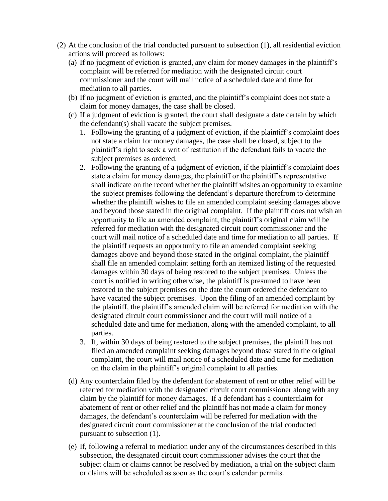- (2) At the conclusion of the trial conducted pursuant to subsection (1), all residential eviction actions will proceed as follows:
	- (a) If no judgment of eviction is granted, any claim for money damages in the plaintiff's complaint will be referred for mediation with the designated circuit court commissioner and the court will mail notice of a scheduled date and time for mediation to all parties.
	- (b) If no judgment of eviction is granted, and the plaintiff's complaint does not state a claim for money damages, the case shall be closed.
	- (c) If a judgment of eviction is granted, the court shall designate a date certain by which the defendant(s) shall vacate the subject premises.
		- 1. Following the granting of a judgment of eviction, if the plaintiff's complaint does not state a claim for money damages, the case shall be closed, subject to the plaintiff's right to seek a writ of restitution if the defendant fails to vacate the subject premises as ordered.
		- 2. Following the granting of a judgment of eviction, if the plaintiff's complaint does state a claim for money damages, the plaintiff or the plaintiff's representative shall indicate on the record whether the plaintiff wishes an opportunity to examine the subject premises following the defendant's departure therefrom to determine whether the plaintiff wishes to file an amended complaint seeking damages above and beyond those stated in the original complaint. If the plaintiff does not wish an opportunity to file an amended complaint, the plaintiff's original claim will be referred for mediation with the designated circuit court commissioner and the court will mail notice of a scheduled date and time for mediation to all parties. If the plaintiff requests an opportunity to file an amended complaint seeking damages above and beyond those stated in the original complaint, the plaintiff shall file an amended complaint setting forth an itemized listing of the requested damages within 30 days of being restored to the subject premises. Unless the court is notified in writing otherwise, the plaintiff is presumed to have been restored to the subject premises on the date the court ordered the defendant to have vacated the subject premises. Upon the filing of an amended complaint by the plaintiff, the plaintiff's amended claim will be referred for mediation with the designated circuit court commissioner and the court will mail notice of a scheduled date and time for mediation, along with the amended complaint, to all parties.
		- 3. If, within 30 days of being restored to the subject premises, the plaintiff has not filed an amended complaint seeking damages beyond those stated in the original complaint, the court will mail notice of a scheduled date and time for mediation on the claim in the plaintiff's original complaint to all parties.
	- (d) Any counterclaim filed by the defendant for abatement of rent or other relief will be referred for mediation with the designated circuit court commissioner along with any claim by the plaintiff for money damages. If a defendant has a counterclaim for abatement of rent or other relief and the plaintiff has not made a claim for money damages, the defendant's counterclaim will be referred for mediation with the designated circuit court commissioner at the conclusion of the trial conducted pursuant to subsection (1).
	- (e) If, following a referral to mediation under any of the circumstances described in this subsection, the designated circuit court commissioner advises the court that the subject claim or claims cannot be resolved by mediation, a trial on the subject claim or claims will be scheduled as soon as the court's calendar permits.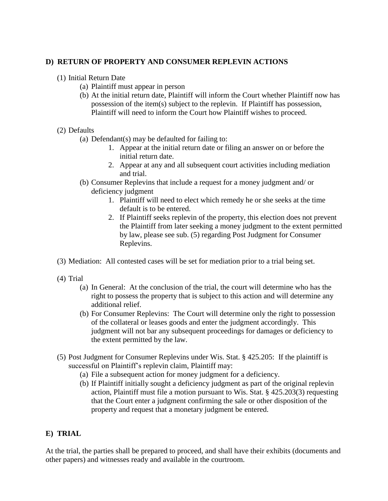#### **D) RETURN OF PROPERTY AND CONSUMER REPLEVIN ACTIONS**

- (1) Initial Return Date
	- (a) Plaintiff must appear in person
	- (b) At the initial return date, Plaintiff will inform the Court whether Plaintiff now has possession of the item(s) subject to the replevin. If Plaintiff has possession, Plaintiff will need to inform the Court how Plaintiff wishes to proceed.

#### (2) Defaults

- (a) Defendant(s) may be defaulted for failing to:
	- 1. Appear at the initial return date or filing an answer on or before the initial return date.
	- 2. Appear at any and all subsequent court activities including mediation and trial.
- (b) Consumer Replevins that include a request for a money judgment and/ or deficiency judgment
	- 1. Plaintiff will need to elect which remedy he or she seeks at the time default is to be entered.
	- 2. If Plaintiff seeks replevin of the property, this election does not prevent the Plaintiff from later seeking a money judgment to the extent permitted by law, please see sub. (5) regarding Post Judgment for Consumer Replevins.
- (3) Mediation: All contested cases will be set for mediation prior to a trial being set.
- (4) Trial
	- (a) In General: At the conclusion of the trial, the court will determine who has the right to possess the property that is subject to this action and will determine any additional relief.
	- (b) For Consumer Replevins: The Court will determine only the right to possession of the collateral or leases goods and enter the judgment accordingly. This judgment will not bar any subsequent proceedings for damages or deficiency to the extent permitted by the law.
- (5) Post Judgment for Consumer Replevins under Wis. Stat. § 425.205: If the plaintiff is successful on Plaintiff's replevin claim, Plaintiff may:
	- (a) File a subsequent action for money judgment for a deficiency.
	- (b) If Plaintiff initially sought a deficiency judgment as part of the original replevin action, Plaintiff must file a motion pursuant to Wis. Stat. § 425.203(3) requesting that the Court enter a judgment confirming the sale or other disposition of the property and request that a monetary judgment be entered.

#### **E) TRIAL**

At the trial, the parties shall be prepared to proceed, and shall have their exhibits (documents and other papers) and witnesses ready and available in the courtroom.